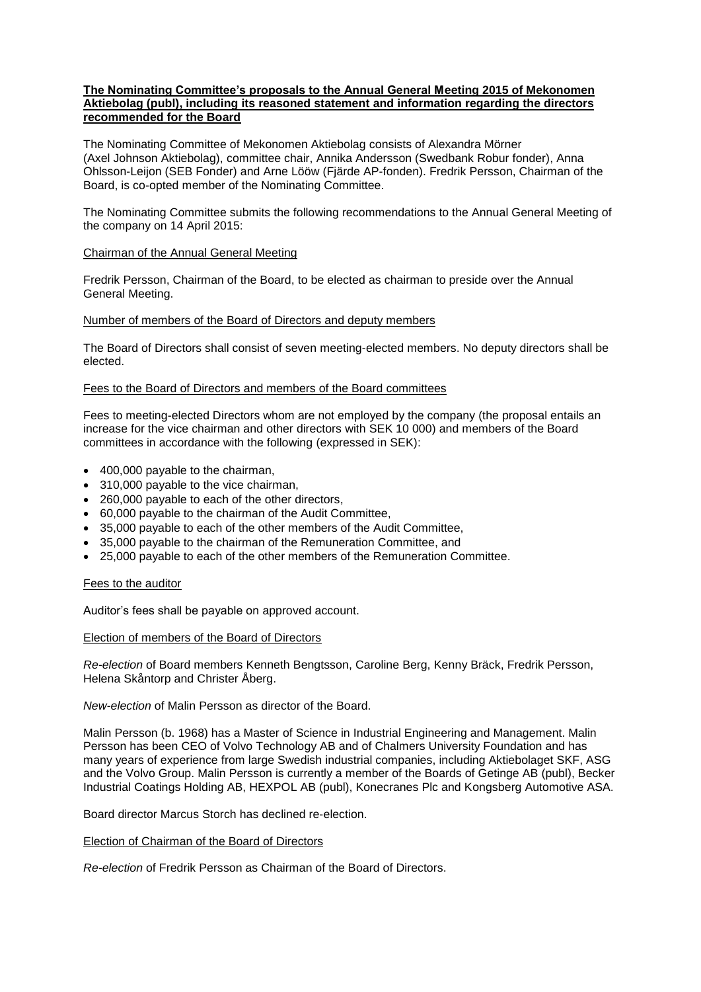## **The Nominating Committee's proposals to the Annual General Meeting 2015 of Mekonomen Aktiebolag (publ), including its reasoned statement and information regarding the directors recommended for the Board**

The Nominating Committee of Mekonomen Aktiebolag consists of Alexandra Mörner (Axel Johnson Aktiebolag), committee chair, Annika Andersson (Swedbank Robur fonder), Anna Ohlsson-Leijon (SEB Fonder) and Arne Lööw (Fjärde AP-fonden). Fredrik Persson, Chairman of the Board, is co-opted member of the Nominating Committee.

The Nominating Committee submits the following recommendations to the Annual General Meeting of the company on 14 April 2015:

#### Chairman of the Annual General Meeting

Fredrik Persson, Chairman of the Board, to be elected as chairman to preside over the Annual General Meeting.

#### Number of members of the Board of Directors and deputy members

The Board of Directors shall consist of seven meeting-elected members. No deputy directors shall be elected.

#### Fees to the Board of Directors and members of the Board committees

Fees to meeting-elected Directors whom are not employed by the company (the proposal entails an increase for the vice chairman and other directors with SEK 10 000) and members of the Board committees in accordance with the following (expressed in SEK):

- 400,000 payable to the chairman,
- 310,000 payable to the vice chairman,
- 260,000 payable to each of the other directors.
- 60,000 payable to the chairman of the Audit Committee,
- 35,000 payable to each of the other members of the Audit Committee,
- 35,000 payable to the chairman of the Remuneration Committee, and
- 25,000 payable to each of the other members of the Remuneration Committee.

#### Fees to the auditor

Auditor's fees shall be payable on approved account.

#### Election of members of the Board of Directors

*Re-election* of Board members Kenneth Bengtsson, Caroline Berg, Kenny Bräck, Fredrik Persson, Helena Skåntorp and Christer Åberg.

*New-election* of Malin Persson as director of the Board.

Malin Persson (b. 1968) has a Master of Science in Industrial Engineering and Management. Malin Persson has been CEO of Volvo Technology AB and of Chalmers University Foundation and has many years of experience from large Swedish industrial companies, including Aktiebolaget SKF, ASG and the Volvo Group. Malin Persson is currently a member of the Boards of Getinge AB (publ), Becker Industrial Coatings Holding AB, HEXPOL AB (publ), Konecranes Plc and Kongsberg Automotive ASA.

Board director Marcus Storch has declined re-election.

# Election of Chairman of the Board of Directors

*Re-election* of Fredrik Persson as Chairman of the Board of Directors.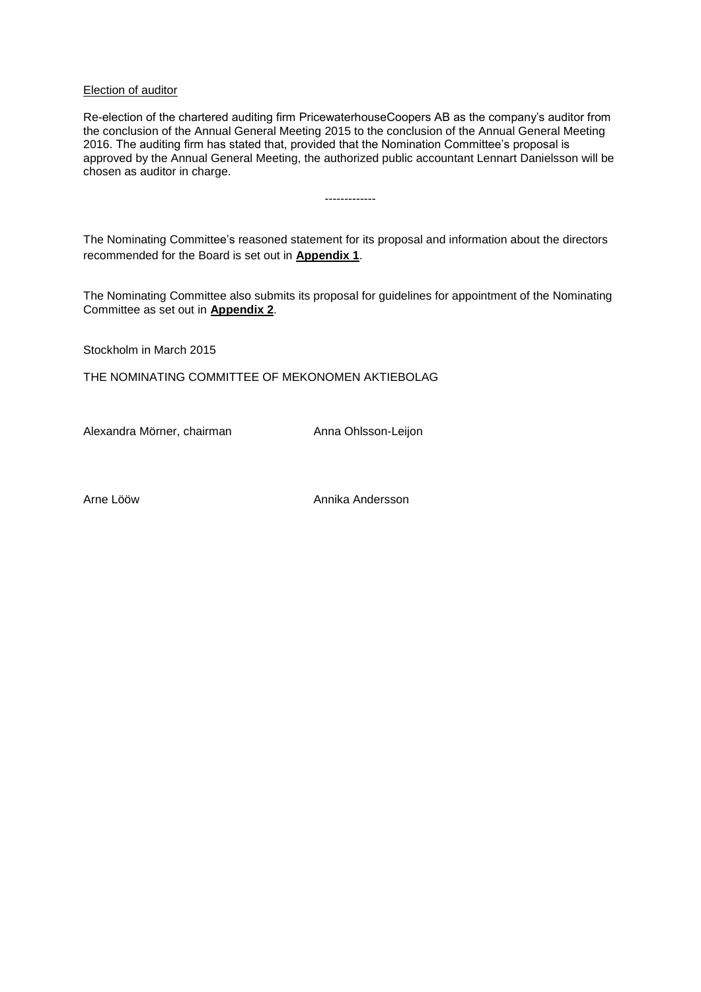## Election of auditor

Re-election of the chartered auditing firm PricewaterhouseCoopers AB as the company's auditor from the conclusion of the Annual General Meeting 2015 to the conclusion of the Annual General Meeting 2016. The auditing firm has stated that, provided that the Nomination Committee's proposal is approved by the Annual General Meeting, the authorized public accountant Lennart Danielsson will be chosen as auditor in charge.

-------------

The Nominating Committee's reasoned statement for its proposal and information about the directors recommended for the Board is set out in **Appendix 1**.

The Nominating Committee also submits its proposal for guidelines for appointment of the Nominating Committee as set out in **Appendix 2**.

Stockholm in March 2015

THE NOMINATING COMMITTEE OF MEKONOMEN AKTIEBOLAG

Alexandra Mörner, chairman Anna Ohlsson-Leijon

Arne Lööw Annika Andersson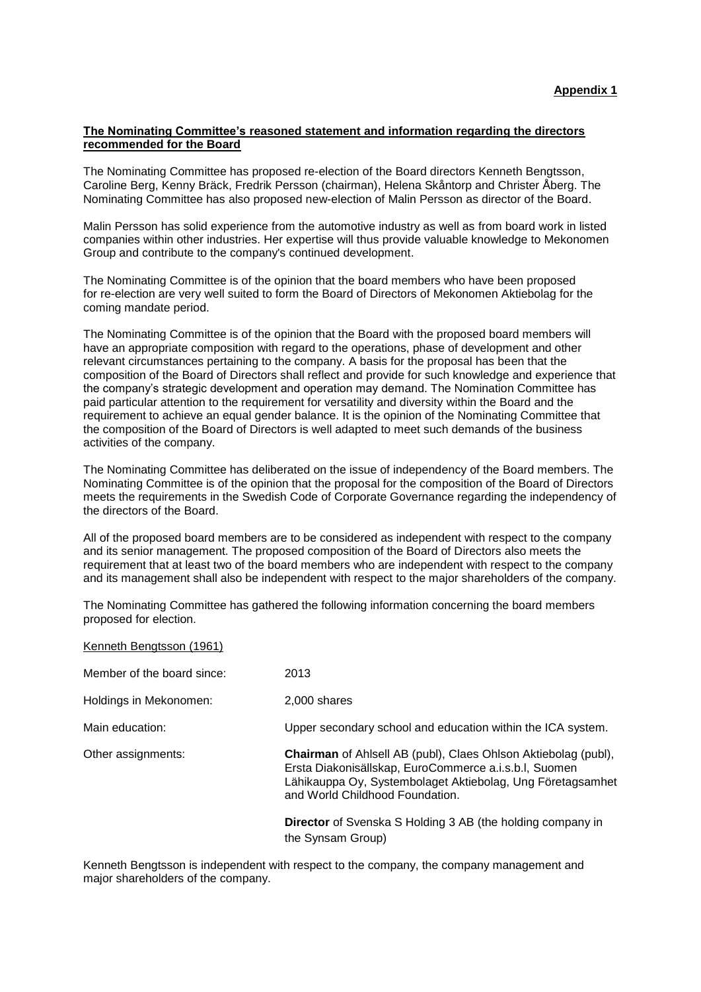## **The Nominating Committee's reasoned statement and information regarding the directors recommended for the Board**

The Nominating Committee has proposed re-election of the Board directors Kenneth Bengtsson, Caroline Berg, Kenny Bräck, Fredrik Persson (chairman), Helena Skåntorp and Christer Åberg. The Nominating Committee has also proposed new-election of Malin Persson as director of the Board.

Malin Persson has solid experience from the automotive industry as well as from board work in listed companies within other industries. Her expertise will thus provide valuable knowledge to Mekonomen Group and contribute to the company's continued development.

The Nominating Committee is of the opinion that the board members who have been proposed for re-election are very well suited to form the Board of Directors of Mekonomen Aktiebolag for the coming mandate period.

The Nominating Committee is of the opinion that the Board with the proposed board members will have an appropriate composition with regard to the operations, phase of development and other relevant circumstances pertaining to the company. A basis for the proposal has been that the composition of the Board of Directors shall reflect and provide for such knowledge and experience that the company's strategic development and operation may demand. The Nomination Committee has paid particular attention to the requirement for versatility and diversity within the Board and the requirement to achieve an equal gender balance. It is the opinion of the Nominating Committee that the composition of the Board of Directors is well adapted to meet such demands of the business activities of the company.

The Nominating Committee has deliberated on the issue of independency of the Board members. The Nominating Committee is of the opinion that the proposal for the composition of the Board of Directors meets the requirements in the Swedish Code of Corporate Governance regarding the independency of the directors of the Board.

All of the proposed board members are to be considered as independent with respect to the company and its senior management. The proposed composition of the Board of Directors also meets the requirement that at least two of the board members who are independent with respect to the company and its management shall also be independent with respect to the major shareholders of the company.

The Nominating Committee has gathered the following information concerning the board members proposed for election.

| Kenneth Bengtsson (1961)   |                                                                                                                                                                                                                                 |
|----------------------------|---------------------------------------------------------------------------------------------------------------------------------------------------------------------------------------------------------------------------------|
| Member of the board since: | 2013                                                                                                                                                                                                                            |
| Holdings in Mekonomen:     | 2,000 shares                                                                                                                                                                                                                    |
| Main education:            | Upper secondary school and education within the ICA system.                                                                                                                                                                     |
| Other assignments:         | <b>Chairman</b> of Ahlsell AB (publ), Claes Ohlson Aktiebolag (publ),<br>Ersta Diakonisällskap, EuroCommerce a.i.s.b.l, Suomen<br>Lähikauppa Oy, Systembolaget Aktiebolag, Ung Företagsamhet<br>and World Childhood Foundation. |
|                            | <b>Director</b> of Svenska S Holding 3 AB (the holding company in<br>the Synsam Group)                                                                                                                                          |

Kenneth Bengtsson is independent with respect to the company, the company management and major shareholders of the company.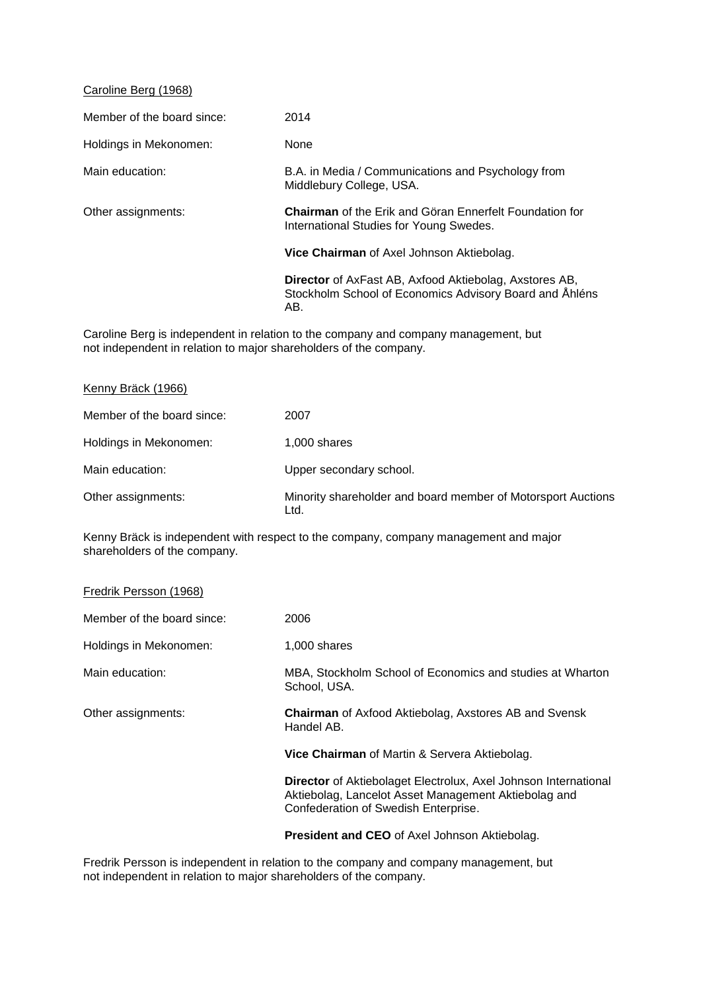## Caroline Berg (1968)

| Member of the board since: | 2014                                                                                                                            |
|----------------------------|---------------------------------------------------------------------------------------------------------------------------------|
| Holdings in Mekonomen:     | None                                                                                                                            |
| Main education:            | B.A. in Media / Communications and Psychology from<br>Middlebury College, USA.                                                  |
| Other assignments:         | <b>Chairman</b> of the Erik and Göran Ennerfelt Foundation for<br>International Studies for Young Swedes.                       |
|                            | Vice Chairman of Axel Johnson Aktiebolag.                                                                                       |
|                            | <b>Director</b> of AxFast AB, Axfood Aktiebolag, Axstores AB,<br>Stockholm School of Economics Advisory Board and Åhléns<br>AB. |

Caroline Berg is independent in relation to the company and company management, but not independent in relation to major shareholders of the company.

| Kenny Bräck (1966)         |                                                                      |
|----------------------------|----------------------------------------------------------------------|
| Member of the board since: | 2007                                                                 |
| Holdings in Mekonomen:     | 1,000 shares                                                         |
| Main education:            | Upper secondary school.                                              |
| Other assignments:         | Minority shareholder and board member of Motorsport Auctions<br>Ltd. |

Kenny Bräck is independent with respect to the company, company management and major shareholders of the company.

| Fredrik Persson (1968) |  |
|------------------------|--|
|------------------------|--|

| Member of the board since: | 2006                                                                                                                                                            |
|----------------------------|-----------------------------------------------------------------------------------------------------------------------------------------------------------------|
| Holdings in Mekonomen:     | 1,000 shares                                                                                                                                                    |
| Main education:            | MBA, Stockholm School of Economics and studies at Wharton<br>School, USA.                                                                                       |
| Other assignments:         | <b>Chairman</b> of Axfood Aktiebolag, Axstores AB and Svensk<br>Handel AB.                                                                                      |
|                            | Vice Chairman of Martin & Servera Aktiebolag.                                                                                                                   |
|                            | Director of Aktiebolaget Electrolux, Axel Johnson International<br>Aktiebolag, Lancelot Asset Management Aktiebolag and<br>Confederation of Swedish Enterprise. |
|                            | — '' 'AFA'' ''' '''' '                                                                                                                                          |

**President and CEO** of Axel Johnson Aktiebolag.

Fredrik Persson is independent in relation to the company and company management, but not independent in relation to major shareholders of the company.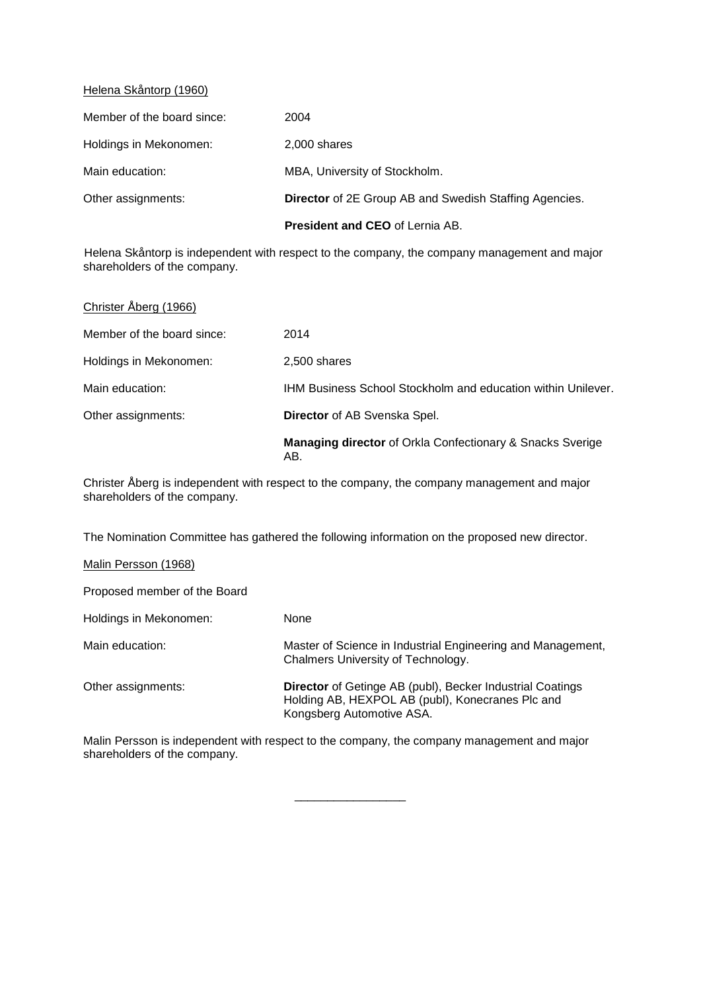## Helena Skåntorp (1960)

|                            | <b>President and CEO of Lernia AB.</b>                        |
|----------------------------|---------------------------------------------------------------|
| Other assignments:         | <b>Director</b> of 2E Group AB and Swedish Staffing Agencies. |
| Main education:            | MBA, University of Stockholm.                                 |
| Holdings in Mekonomen:     | 2,000 shares                                                  |
| Member of the board since: | 2004                                                          |

Helena Skåntorp is independent with respect to the company, the company management and major shareholders of the company.

| Christer Åberg (1966)      |                                                                         |
|----------------------------|-------------------------------------------------------------------------|
| Member of the board since: | 2014                                                                    |
| Holdings in Mekonomen:     | 2,500 shares                                                            |
| Main education:            | <b>IHM Business School Stockholm and education within Unilever.</b>     |
| Other assignments:         | <b>Director</b> of AB Svenska Spel.                                     |
|                            | <b>Managing director</b> of Orkla Confectionary & Snacks Sverige<br>AB. |

Christer Åberg is independent with respect to the company, the company management and major shareholders of the company.

The Nomination Committee has gathered the following information on the proposed new director.

## Malin Persson (1968)

Proposed member of the Board

Holdings in Mekonomen: None Main education: Master of Science in Industrial Engineering and Management, Chalmers University of Technology.

Other assignments: **Director** of Getinge AB (publ), Becker Industrial Coatings Holding AB, HEXPOL AB (publ), Konecranes Plc and Kongsberg Automotive ASA.

Malin Persson is independent with respect to the company, the company management and major shareholders of the company.

\_\_\_\_\_\_\_\_\_\_\_\_\_\_\_\_\_